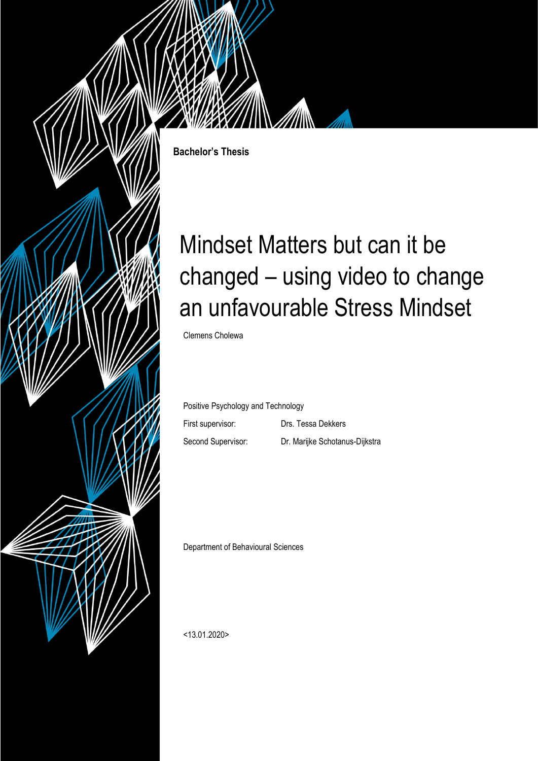

**Bachelor's Thesis**

# Mindset Matters but can it be changed – using video to change an unfavourable Stress Mindset

Clemens Cholewa

Positive Psychology and Technology

First supervisor: Drs. Tessa Dekkers Second Supervisor: Dr. Marijke Schotanus-Dijkstra

Department of Behavioural Sciences

<13.01.2020>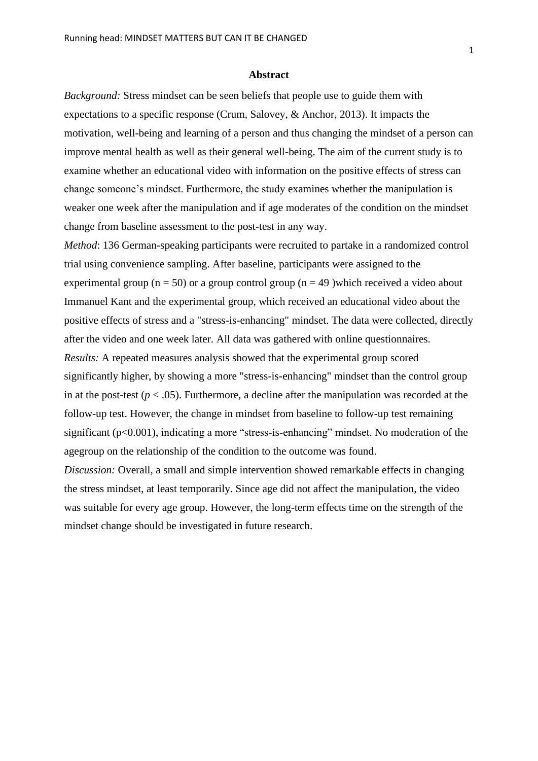# **Abstract**

*Background:* Stress mindset can be seen beliefs that people use to guide them with expectations to a specific response (Crum, Salovey, & Anchor, 2013). It impacts the motivation, well-being and learning of a person and thus changing the mindset of a person can improve mental health as well as their general well-being. The aim of the current study is to examine whether an educational video with information on the positive effects of stress can change someone's mindset. Furthermore, the study examines whether the manipulation is weaker one week after the manipulation and if age moderates of the condition on the mindset change from baseline assessment to the post-test in any way.

*Method*: 136 German-speaking participants were recruited to partake in a randomized control trial using convenience sampling. After baseline, participants were assigned to the experimental group ( $n = 50$ ) or a group control group ( $n = 49$ ) which received a video about Immanuel Kant and the experimental group, which received an educational video about the positive effects of stress and a "stress-is-enhancing" mindset. The data were collected, directly after the video and one week later. All data was gathered with online questionnaires. *Results:* A repeated measures analysis showed that the experimental group scored significantly higher, by showing a more "stress-is-enhancing" mindset than the control group in at the post-test ( $p < .05$ ). Furthermore, a decline after the manipulation was recorded at the follow-up test. However, the change in mindset from baseline to follow-up test remaining significant (p<0.001), indicating a more "stress-is-enhancing" mindset. No moderation of the agegroup on the relationship of the condition to the outcome was found.

*Discussion:* Overall, a small and simple intervention showed remarkable effects in changing the stress mindset, at least temporarily. Since age did not affect the manipulation, the video was suitable for every age group. However, the long-term effects time on the strength of the mindset change should be investigated in future research.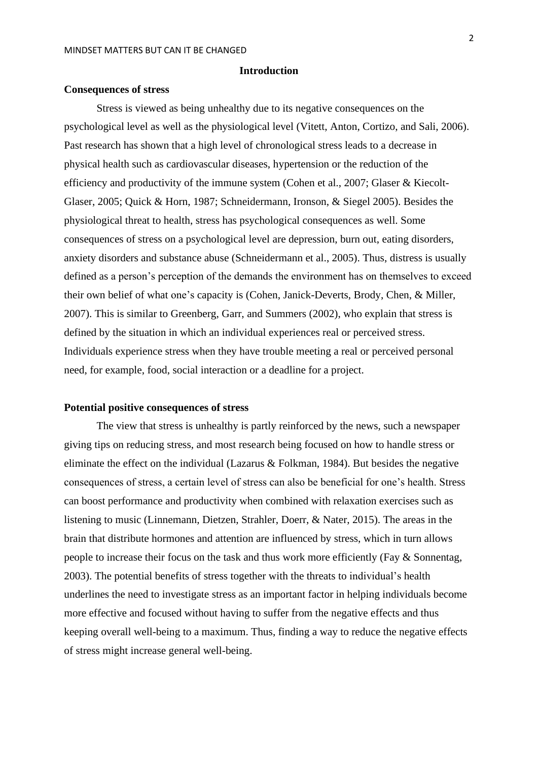# **Introduction**

## **Consequences of stress**

Stress is viewed as being unhealthy due to its negative consequences on the psychological level as well as the physiological level (Vitett, Anton, Cortizo, and Sali, 2006). Past research has shown that a high level of chronological stress leads to a decrease in physical health such as cardiovascular diseases, hypertension or the reduction of the efficiency and productivity of the immune system (Cohen et al., 2007; Glaser & Kiecolt-Glaser, 2005; Quick & Horn, 1987; Schneidermann, Ironson, & Siegel 2005). Besides the physiological threat to health, stress has psychological consequences as well. Some consequences of stress on a psychological level are depression, burn out, eating disorders, anxiety disorders and substance abuse (Schneidermann et al., 2005). Thus, distress is usually defined as a person's perception of the demands the environment has on themselves to exceed their own belief of what one's capacity is (Cohen, Janick-Deverts, Brody, Chen, & Miller, 2007). This is similar to Greenberg, Garr, and Summers (2002), who explain that stress is defined by the situation in which an individual experiences real or perceived stress. Individuals experience stress when they have trouble meeting a real or perceived personal need, for example, food, social interaction or a deadline for a project.

## **Potential positive consequences of stress**

The view that stress is unhealthy is partly reinforced by the news, such a newspaper giving tips on reducing stress, and most research being focused on how to handle stress or eliminate the effect on the individual (Lazarus & Folkman, 1984). But besides the negative consequences of stress, a certain level of stress can also be beneficial for one's health. Stress can boost performance and productivity when combined with relaxation exercises such as listening to music (Linnemann, Dietzen, Strahler, Doerr, & Nater, 2015). The areas in the brain that distribute hormones and attention are influenced by stress, which in turn allows people to increase their focus on the task and thus work more efficiently (Fay & Sonnentag, 2003). The potential benefits of stress together with the threats to individual's health underlines the need to investigate stress as an important factor in helping individuals become more effective and focused without having to suffer from the negative effects and thus keeping overall well-being to a maximum. Thus, finding a way to reduce the negative effects of stress might increase general well-being.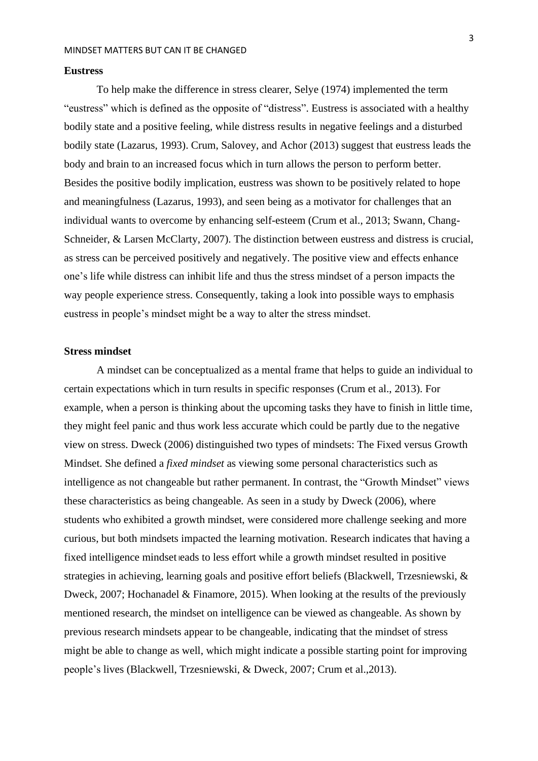## **Eustress**

To help make the difference in stress clearer, Selye (1974) implemented the term "eustress" which is defined as the opposite of "distress". Eustress is associated with a healthy bodily state and a positive feeling, while distress results in negative feelings and a disturbed bodily state (Lazarus, 1993). Crum, Salovey, and Achor (2013) suggest that eustress leads the body and brain to an increased focus which in turn allows the person to perform better. Besides the positive bodily implication, eustress was shown to be positively related to hope and meaningfulness (Lazarus, 1993), and seen being as a motivator for challenges that an individual wants to overcome by enhancing self-esteem (Crum et al., 2013; Swann, Chang-Schneider, & Larsen McClarty, 2007). The distinction between eustress and distress is crucial, as stress can be perceived positively and negatively. The positive view and effects enhance one's life while distress can inhibit life and thus the stress mindset of a person impacts the way people experience stress. Consequently, taking a look into possible ways to emphasis eustress in people's mindset might be a way to alter the stress mindset.

# **Stress mindset**

A mindset can be conceptualized as a mental frame that helps to guide an individual to certain expectations which in turn results in specific responses (Crum et al., 2013). For example, when a person is thinking about the upcoming tasks they have to finish in little time, they might feel panic and thus work less accurate which could be partly due to the negative view on stress. Dweck (2006) distinguished two types of mindsets: The Fixed versus Growth Mindset. She defined a *fixed mindset* as viewing some personal characteristics such as intelligence as not changeable but rather permanent. In contrast, the "Growth Mindset" views these characteristics as being changeable. As seen in a study by Dweck (2006), where students who exhibited a growth mindset, were considered more challenge seeking and more curious, but both mindsets impacted the learning motivation. Research indicates that having a fixed intelligence mindset <sup>l</sup>eads to less effort while a growth mindset resulted in positive strategies in achieving, learning goals and positive effort beliefs (Blackwell, Trzesniewski, & Dweck, 2007; Hochanadel & Finamore, 2015). When looking at the results of the previously mentioned research, the mindset on intelligence can be viewed as changeable. As shown by previous research mindsets appear to be changeable, indicating that the mindset of stress might be able to change as well, which might indicate a possible starting point for improving people's lives (Blackwell, Trzesniewski, & Dweck, 2007; Crum et al.,2013).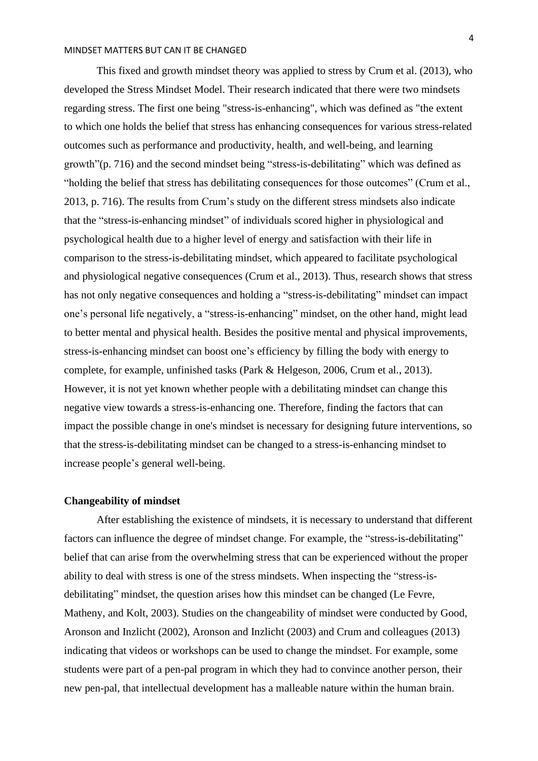This fixed and growth mindset theory was applied to stress by Crum et al. (2013), who developed the Stress Mindset Model. Their research indicated that there were two mindsets regarding stress. The first one being "stress-is-enhancing", which was defined as "the extent to which one holds the belief that stress has enhancing consequences for various stress-related outcomes such as performance and productivity, health, and well-being, and learning growth"(p. 716) and the second mindset being "stress-is-debilitating" which was defined as "holding the belief that stress has debilitating consequences for those outcomes" (Crum et al., 2013, p. 716). The results from Crum's study on the different stress mindsets also indicate that the "stress-is-enhancing mindset" of individuals scored higher in physiological and psychological health due to a higher level of energy and satisfaction with their life in comparison to the stress-is-debilitating mindset, which appeared to facilitate psychological and physiological negative consequences (Crum et al., 2013). Thus, research shows that stress has not only negative consequences and holding a "stress-is-debilitating" mindset can impact one's personal life negatively, a "stress-is-enhancing" mindset, on the other hand, might lead to better mental and physical health. Besides the positive mental and physical improvements, stress-is-enhancing mindset can boost one's efficiency by filling the body with energy to complete, for example, unfinished tasks (Park & Helgeson, 2006, Crum et al., 2013). However, it is not yet known whether people with a debilitating mindset can change this negative view towards a stress-is-enhancing one. Therefore, finding the factors that can impact the possible change in one's mindset is necessary for designing future interventions, so that the stress-is-debilitating mindset can be changed to a stress-is-enhancing mindset to increase people's general well-being.

# **Changeability of mindset**

After establishing the existence of mindsets, it is necessary to understand that different factors can influence the degree of mindset change. For example, the "stress-is-debilitating" belief that can arise from the overwhelming stress that can be experienced without the proper ability to deal with stress is one of the stress mindsets. When inspecting the "stress-isdebilitating" mindset, the question arises how this mindset can be changed (Le Fevre, Matheny, and Kolt, 2003). Studies on the changeability of mindset were conducted by Good, Aronson and Inzlicht (2002), Aronson and Inzlicht (2003) and Crum and colleagues (2013) indicating that videos or workshops can be used to change the mindset. For example, some students were part of a pen-pal program in which they had to convince another person, their new pen-pal, that intellectual development has a malleable nature within the human brain.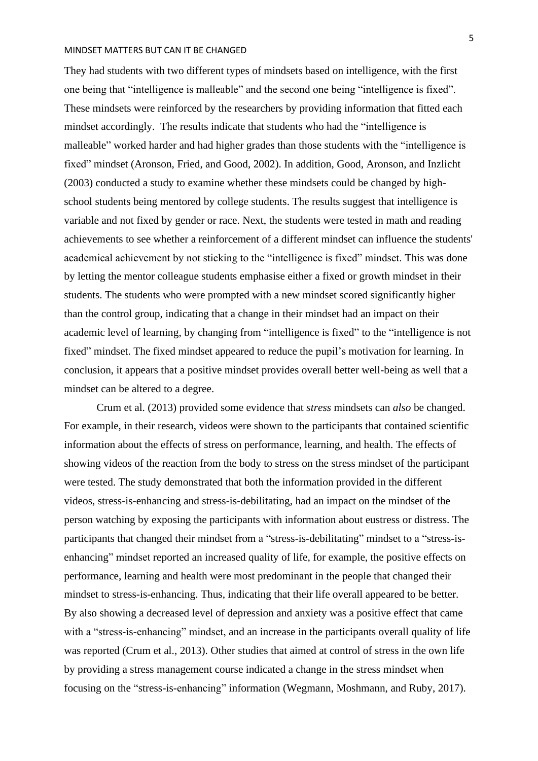They had students with two different types of mindsets based on intelligence, with the first one being that "intelligence is malleable" and the second one being "intelligence is fixed". These mindsets were reinforced by the researchers by providing information that fitted each mindset accordingly. The results indicate that students who had the "intelligence is malleable" worked harder and had higher grades than those students with the "intelligence is fixed" mindset (Aronson, Fried, and Good, 2002). In addition, Good, Aronson, and Inzlicht (2003) conducted a study to examine whether these mindsets could be changed by highschool students being mentored by college students. The results suggest that intelligence is variable and not fixed by gender or race. Next, the students were tested in math and reading achievements to see whether a reinforcement of a different mindset can influence the students' academical achievement by not sticking to the "intelligence is fixed" mindset. This was done by letting the mentor colleague students emphasise either a fixed or growth mindset in their students. The students who were prompted with a new mindset scored significantly higher than the control group, indicating that a change in their mindset had an impact on their academic level of learning, by changing from "intelligence is fixed" to the "intelligence is not fixed" mindset. The fixed mindset appeared to reduce the pupil's motivation for learning. In conclusion, it appears that a positive mindset provides overall better well-being as well that a mindset can be altered to a degree.

Crum et al. (2013) provided some evidence that *stress* mindsets can *also* be changed. For example, in their research, videos were shown to the participants that contained scientific information about the effects of stress on performance, learning, and health. The effects of showing videos of the reaction from the body to stress on the stress mindset of the participant were tested. The study demonstrated that both the information provided in the different videos, stress-is-enhancing and stress-is-debilitating, had an impact on the mindset of the person watching by exposing the participants with information about eustress or distress. The participants that changed their mindset from a "stress-is-debilitating" mindset to a "stress-isenhancing" mindset reported an increased quality of life, for example, the positive effects on performance, learning and health were most predominant in the people that changed their mindset to stress-is-enhancing. Thus, indicating that their life overall appeared to be better. By also showing a decreased level of depression and anxiety was a positive effect that came with a "stress-is-enhancing" mindset, and an increase in the participants overall quality of life was reported (Crum et al., 2013). Other studies that aimed at control of stress in the own life by providing a stress management course indicated a change in the stress mindset when focusing on the "stress-is-enhancing" information (Wegmann, Moshmann, and Ruby, 2017).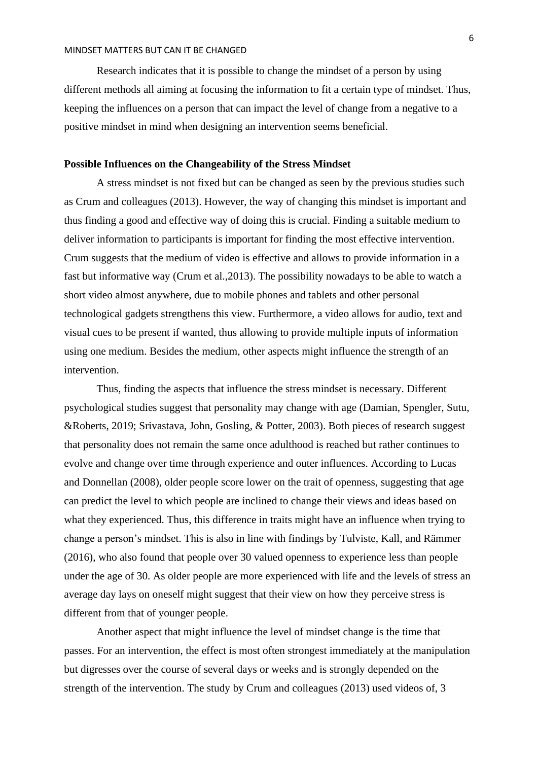Research indicates that it is possible to change the mindset of a person by using different methods all aiming at focusing the information to fit a certain type of mindset. Thus, keeping the influences on a person that can impact the level of change from a negative to a positive mindset in mind when designing an intervention seems beneficial.

# **Possible Influences on the Changeability of the Stress Mindset**

A stress mindset is not fixed but can be changed as seen by the previous studies such as Crum and colleagues (2013). However, the way of changing this mindset is important and thus finding a good and effective way of doing this is crucial. Finding a suitable medium to deliver information to participants is important for finding the most effective intervention. Crum suggests that the medium of video is effective and allows to provide information in a fast but informative way (Crum et al.,2013). The possibility nowadays to be able to watch a short video almost anywhere, due to mobile phones and tablets and other personal technological gadgets strengthens this view. Furthermore, a video allows for audio, text and visual cues to be present if wanted, thus allowing to provide multiple inputs of information using one medium. Besides the medium, other aspects might influence the strength of an intervention.

Thus, finding the aspects that influence the stress mindset is necessary. Different psychological studies suggest that personality may change with age (Damian, Spengler, Sutu, &Roberts, 2019; Srivastava, John, Gosling, & Potter, 2003). Both pieces of research suggest that personality does not remain the same once adulthood is reached but rather continues to evolve and change over time through experience and outer influences. According to Lucas and Donnellan (2008), older people score lower on the trait of openness, suggesting that age can predict the level to which people are inclined to change their views and ideas based on what they experienced. Thus, this difference in traits might have an influence when trying to change a person's mindset. This is also in line with findings by Tulviste, Kall, and Rämmer (2016), who also found that people over 30 valued openness to experience less than people under the age of 30. As older people are more experienced with life and the levels of stress an average day lays on oneself might suggest that their view on how they perceive stress is different from that of younger people.

Another aspect that might influence the level of mindset change is the time that passes. For an intervention, the effect is most often strongest immediately at the manipulation but digresses over the course of several days or weeks and is strongly depended on the strength of the intervention. The study by Crum and colleagues (2013) used videos of, 3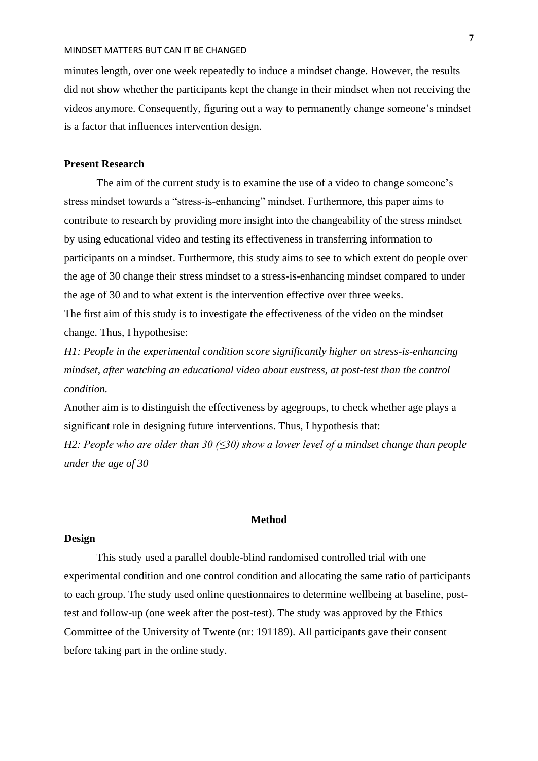minutes length, over one week repeatedly to induce a mindset change. However, the results did not show whether the participants kept the change in their mindset when not receiving the videos anymore. Consequently, figuring out a way to permanently change someone's mindset is a factor that influences intervention design.

# **Present Research**

The aim of the current study is to examine the use of a video to change someone's stress mindset towards a "stress-is-enhancing" mindset. Furthermore, this paper aims to contribute to research by providing more insight into the changeability of the stress mindset by using educational video and testing its effectiveness in transferring information to participants on a mindset. Furthermore, this study aims to see to which extent do people over the age of 30 change their stress mindset to a stress-is-enhancing mindset compared to under the age of 30 and to what extent is the intervention effective over three weeks. The first aim of this study is to investigate the effectiveness of the video on the mindset change. Thus, I hypothesise:

*H1: People in the experimental condition score significantly higher on stress-is-enhancing mindset, after watching an educational video about eustress, at post-test than the control condition.*

Another aim is to distinguish the effectiveness by agegroups, to check whether age plays a significant role in designing future interventions. Thus, I hypothesis that:

*H2: People who are older than 30 (≤30) show a lower level of a mindset change than people under the age of 30*

## **Method**

# **Design**

This study used a parallel double-blind randomised controlled trial with one experimental condition and one control condition and allocating the same ratio of participants to each group. The study used online questionnaires to determine wellbeing at baseline, posttest and follow-up (one week after the post-test). The study was approved by the Ethics Committee of the University of Twente (nr: 191189). All participants gave their consent before taking part in the online study.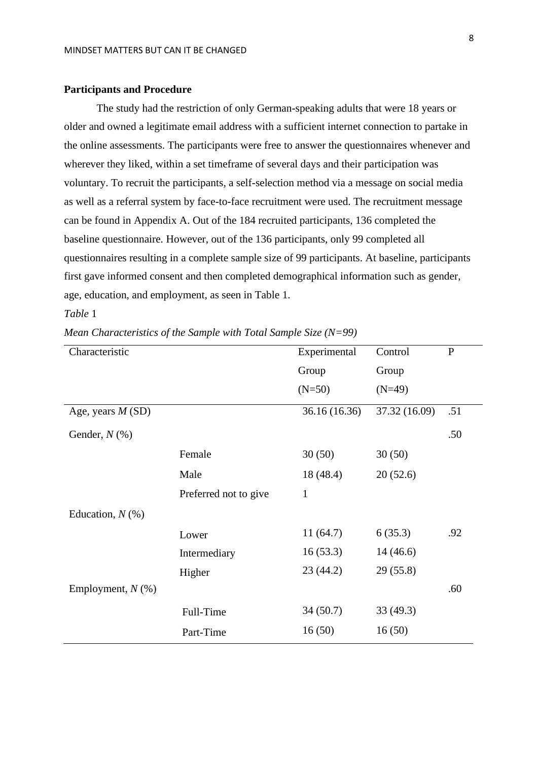## **Participants and Procedure**

The study had the restriction of only German-speaking adults that were 18 years or older and owned a legitimate email address with a sufficient internet connection to partake in the online assessments. The participants were free to answer the questionnaires whenever and wherever they liked, within a set timeframe of several days and their participation was voluntary. To recruit the participants, a self-selection method via a message on social media as well as a referral system by face-to-face recruitment were used. The recruitment message can be found in Appendix A. Out of the 184 recruited participants, 136 completed the baseline questionnaire. However, out of the 136 participants, only 99 completed all questionnaires resulting in a complete sample size of 99 participants. At baseline, participants first gave informed consent and then completed demographical information such as gender, age, education, and employment, as seen in Table 1.

# *Table* 1

*Mean Characteristics of the Sample with Total Sample Size (N=99)*

| Characteristic      |                       | Experimental  | Control       | $\mathbf{P}$ |
|---------------------|-----------------------|---------------|---------------|--------------|
|                     |                       | Group         | Group         |              |
|                     |                       | $(N=50)$      | $(N=49)$      |              |
| Age, years $M(SD)$  |                       | 36.16 (16.36) | 37.32 (16.09) | .51          |
| Gender, $N$ (%)     |                       |               |               | .50          |
|                     | Female                | 30(50)        | 30(50)        |              |
|                     | Male                  | 18(48.4)      | 20(52.6)      |              |
|                     | Preferred not to give | $\mathbf{1}$  |               |              |
| Education, $N$ (%)  |                       |               |               |              |
|                     | Lower                 | 11(64.7)      | 6(35.3)       | .92          |
|                     | Intermediary          | 16(53.3)      | 14(46.6)      |              |
|                     | Higher                | 23(44.2)      | 29(55.8)      |              |
| Employment, $N$ (%) |                       |               |               | .60          |
|                     | Full-Time             | 34(50.7)      | 33(49.3)      |              |
|                     | Part-Time             | 16(50)        | 16(50)        |              |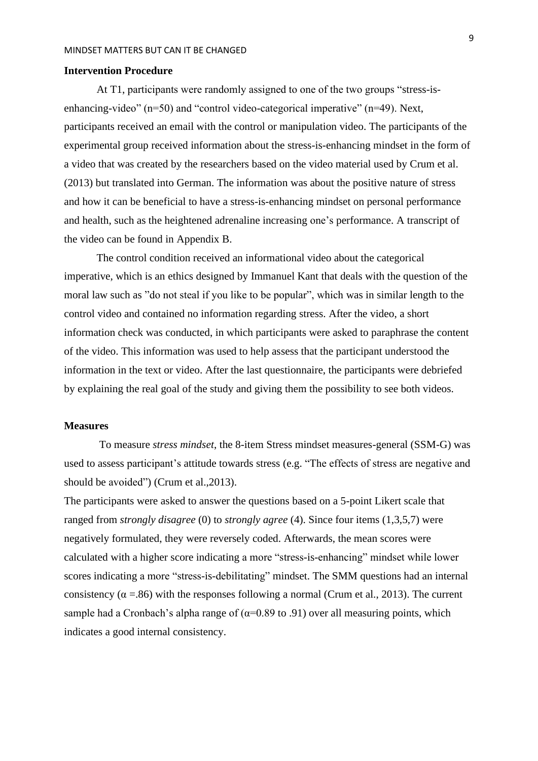# **Intervention Procedure**

At T1, participants were randomly assigned to one of the two groups "stress-isenhancing-video" (n=50) and "control video-categorical imperative" (n=49). Next, participants received an email with the control or manipulation video. The participants of the experimental group received information about the stress-is-enhancing mindset in the form of a video that was created by the researchers based on the video material used by Crum et al. (2013) but translated into German. The information was about the positive nature of stress and how it can be beneficial to have a stress-is-enhancing mindset on personal performance and health, such as the heightened adrenaline increasing one's performance. A transcript of the video can be found in Appendix B.

The control condition received an informational video about the categorical imperative, which is an ethics designed by Immanuel Kant that deals with the question of the moral law such as "do not steal if you like to be popular", which was in similar length to the control video and contained no information regarding stress. After the video, a short information check was conducted, in which participants were asked to paraphrase the content of the video. This information was used to help assess that the participant understood the information in the text or video. After the last questionnaire, the participants were debriefed by explaining the real goal of the study and giving them the possibility to see both videos.

#### **Measures**

To measure *stress mindset*, the 8-item Stress mindset measures-general (SSM-G) was used to assess participant's attitude towards stress (e.g. "The effects of stress are negative and should be avoided") (Crum et al.,2013).

The participants were asked to answer the questions based on a 5-point Likert scale that ranged from *strongly disagree* (0) to *strongly agree* (4). Since four items (1,3,5,7) were negatively formulated, they were reversely coded. Afterwards, the mean scores were calculated with a higher score indicating a more "stress-is-enhancing" mindset while lower scores indicating a more "stress-is-debilitating" mindset. The SMM questions had an internal consistency ( $\alpha$  =.86) with the responses following a normal (Crum et al., 2013). The current sample had a Cronbach's alpha range of  $(\alpha=0.89 \text{ to } 0.91)$  over all measuring points, which indicates a good internal consistency.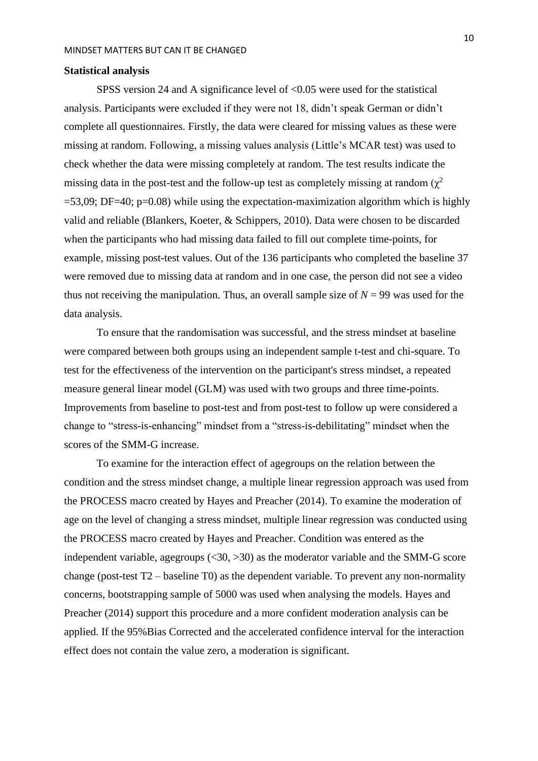## **Statistical analysis**

SPSS version 24 and A significance level of <0.05 were used for the statistical analysis. Participants were excluded if they were not 18, didn't speak German or didn't complete all questionnaires. Firstly, the data were cleared for missing values as these were missing at random. Following, a missing values analysis (Little's MCAR test) was used to check whether the data were missing completely at random. The test results indicate the missing data in the post-test and the follow-up test as completely missing at random  $(\chi^2)$  $=$  53,09; DF $=$ 40; p=0.08) while using the expectation-maximization algorithm which is highly valid and reliable (Blankers, Koeter, & Schippers, 2010). Data were chosen to be discarded when the participants who had missing data failed to fill out complete time-points, for example, missing post-test values. Out of the 136 participants who completed the baseline 37 were removed due to missing data at random and in one case, the person did not see a video thus not receiving the manipulation. Thus, an overall sample size of  $N = 99$  was used for the data analysis.

To ensure that the randomisation was successful, and the stress mindset at baseline were compared between both groups using an independent sample t-test and chi-square. To test for the effectiveness of the intervention on the participant's stress mindset, a repeated measure general linear model (GLM) was used with two groups and three time-points. Improvements from baseline to post-test and from post-test to follow up were considered a change to "stress-is-enhancing" mindset from a "stress-is-debilitating" mindset when the scores of the SMM-G increase.

To examine for the interaction effect of agegroups on the relation between the condition and the stress mindset change, a multiple linear regression approach was used from the PROCESS macro created by Hayes and Preacher (2014). To examine the moderation of age on the level of changing a stress mindset, multiple linear regression was conducted using the PROCESS macro created by Hayes and Preacher. Condition was entered as the independent variable, agegroups  $( $30, >30$ )$  as the moderator variable and the SMM-G score change (post-test T2 – baseline T0) as the dependent variable. To prevent any non-normality concerns, bootstrapping sample of 5000 was used when analysing the models. Hayes and Preacher (2014) support this procedure and a more confident moderation analysis can be applied. If the 95%Bias Corrected and the accelerated confidence interval for the interaction effect does not contain the value zero, a moderation is significant.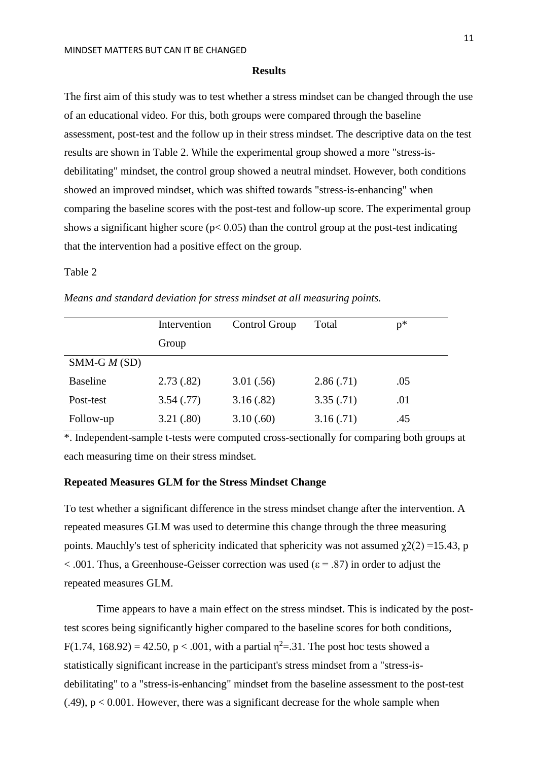## **Results**

The first aim of this study was to test whether a stress mindset can be changed through the use of an educational video. For this, both groups were compared through the baseline assessment, post-test and the follow up in their stress mindset. The descriptive data on the test results are shown in Table 2. While the experimental group showed a more "stress-isdebilitating" mindset, the control group showed a neutral mindset. However, both conditions showed an improved mindset, which was shifted towards "stress-is-enhancing" when comparing the baseline scores with the post-test and follow-up score. The experimental group shows a significant higher score ( $p$ < 0.05) than the control group at the post-test indicating that the intervention had a positive effect on the group.

Table 2

|                 | Intervention | Control Group | Total     | $p*$ |
|-----------------|--------------|---------------|-----------|------|
|                 | Group        |               |           |      |
| $SMM-G M(SD)$   |              |               |           |      |
| <b>Baseline</b> | 2.73(.82)    | 3.01(.56)     | 2.86(.71) | .05  |
| Post-test       | 3.54(.77)    | 3.16(.82)     | 3.35(.71) | .01  |
| Follow-up       | 3.21(.80)    | 3.10(.60)     | 3.16(.71) | .45  |

*Means and standard deviation for stress mindset at all measuring points.*

\*. Independent-sample t-tests were computed cross-sectionally for comparing both groups at each measuring time on their stress mindset.

# **Repeated Measures GLM for the Stress Mindset Change**

To test whether a significant difference in the stress mindset change after the intervention. A repeated measures GLM was used to determine this change through the three measuring points. Mauchly's test of sphericity indicated that sphericity was not assumed  $\gamma(2) = 15.43$ , p  $< .001$ . Thus, a Greenhouse-Geisser correction was used ( $\varepsilon = .87$ ) in order to adjust the repeated measures GLM.

Time appears to have a main effect on the stress mindset. This is indicated by the posttest scores being significantly higher compared to the baseline scores for both conditions,  $F(1.74, 168.92) = 42.50, p < .001$ , with a partial  $\eta^2 = .31$ . The post hoc tests showed a statistically significant increase in the participant's stress mindset from a "stress-isdebilitating" to a "stress-is-enhancing" mindset from the baseline assessment to the post-test  $(.49)$ ,  $p < 0.001$ . However, there was a significant decrease for the whole sample when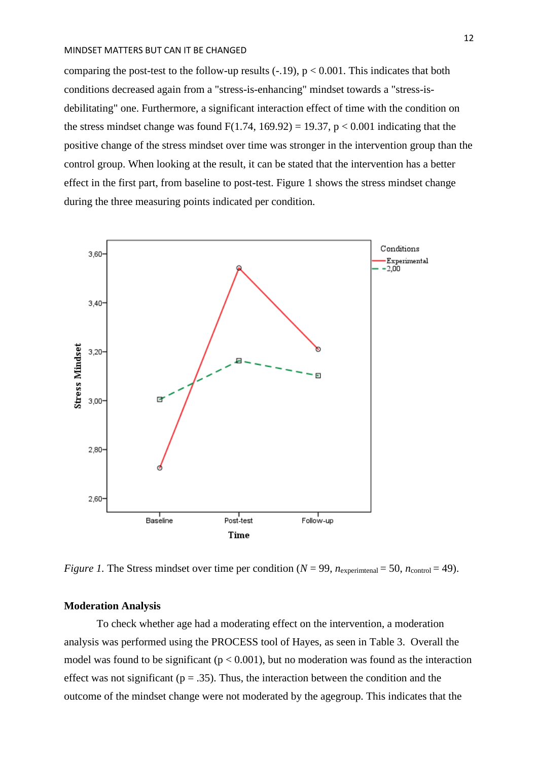comparing the post-test to the follow-up results  $(-.19)$ ,  $p < 0.001$ . This indicates that both conditions decreased again from a "stress-is-enhancing" mindset towards a "stress-isdebilitating" one. Furthermore, a significant interaction effect of time with the condition on the stress mindset change was found  $F(1.74, 169.92) = 19.37$ ,  $p < 0.001$  indicating that the positive change of the stress mindset over time was stronger in the intervention group than the control group. When looking at the result, it can be stated that the intervention has a better effect in the first part, from baseline to post-test. Figure 1 shows the stress mindset change during the three measuring points indicated per condition.



*Figure 1.* The Stress mindset over time per condition ( $N = 99$ ,  $n_{\text{experimtenal}} = 50$ ,  $n_{\text{control}} = 49$ ).

# **Moderation Analysis**

To check whether age had a moderating effect on the intervention, a moderation analysis was performed using the PROCESS tool of Hayes, as seen in Table 3. Overall the model was found to be significant ( $p < 0.001$ ), but no moderation was found as the interaction effect was not significant ( $p = .35$ ). Thus, the interaction between the condition and the outcome of the mindset change were not moderated by the agegroup. This indicates that the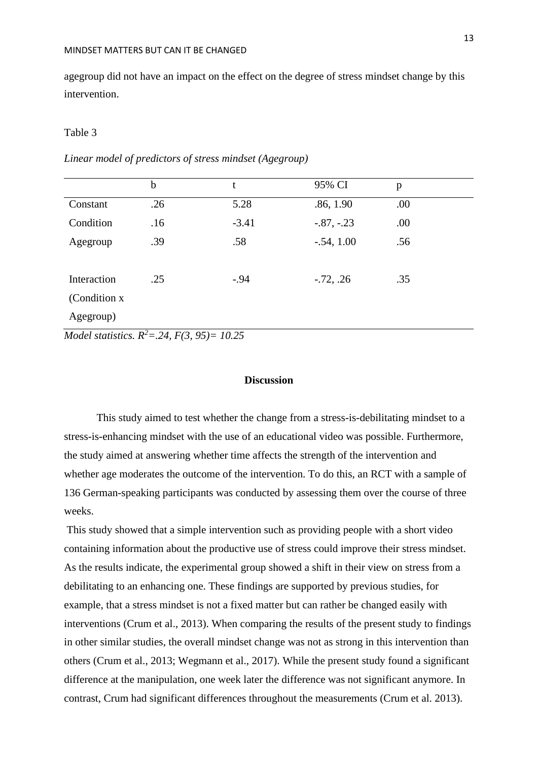agegroup did not have an impact on the effect on the degree of stress mindset change by this intervention.

## Table 3

|               | $\mathbf b$ | t       | 95% CI       | p   |
|---------------|-------------|---------|--------------|-----|
| Constant      | .26         | 5.28    | .86, 1.90    | .00 |
| Condition     | .16         | $-3.41$ | $-.87, -.23$ | .00 |
| Agegroup      | .39         | .58     | $-.54, 1.00$ | .56 |
|               |             |         |              |     |
| Interaction   | .25         | $-.94$  | $-.72, .26$  | .35 |
| (Condition x) |             |         |              |     |
| Agegroup)     |             |         |              |     |

*Linear model of predictors of stress mindset (Agegroup)*

*Model statistics. R<sup>2</sup>=.24, F(3, 95)= 10.25*

# **Discussion**

This study aimed to test whether the change from a stress-is-debilitating mindset to a stress-is-enhancing mindset with the use of an educational video was possible. Furthermore, the study aimed at answering whether time affects the strength of the intervention and whether age moderates the outcome of the intervention. To do this, an RCT with a sample of 136 German-speaking participants was conducted by assessing them over the course of three weeks.

This study showed that a simple intervention such as providing people with a short video containing information about the productive use of stress could improve their stress mindset. As the results indicate, the experimental group showed a shift in their view on stress from a debilitating to an enhancing one. These findings are supported by previous studies, for example, that a stress mindset is not a fixed matter but can rather be changed easily with interventions (Crum et al., 2013). When comparing the results of the present study to findings in other similar studies, the overall mindset change was not as strong in this intervention than others (Crum et al., 2013; Wegmann et al., 2017). While the present study found a significant difference at the manipulation, one week later the difference was not significant anymore. In contrast, Crum had significant differences throughout the measurements (Crum et al. 2013).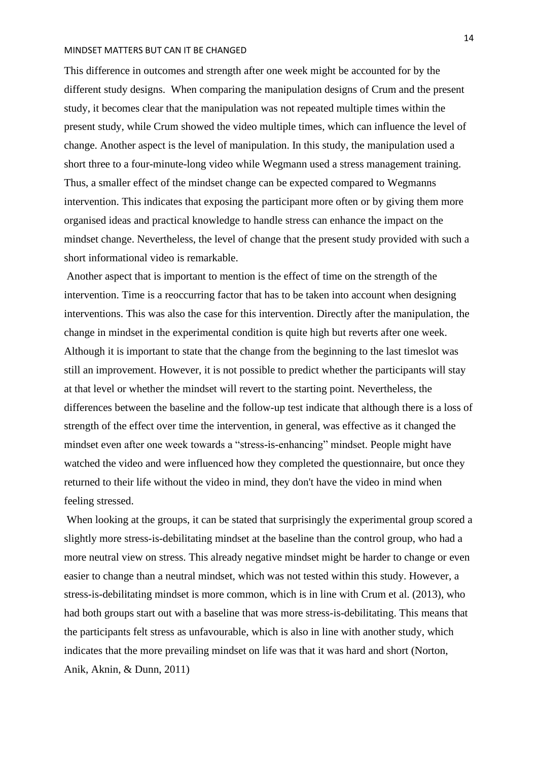This difference in outcomes and strength after one week might be accounted for by the different study designs. When comparing the manipulation designs of Crum and the present study, it becomes clear that the manipulation was not repeated multiple times within the present study, while Crum showed the video multiple times, which can influence the level of change. Another aspect is the level of manipulation. In this study, the manipulation used a short three to a four-minute-long video while Wegmann used a stress management training. Thus, a smaller effect of the mindset change can be expected compared to Wegmanns intervention. This indicates that exposing the participant more often or by giving them more organised ideas and practical knowledge to handle stress can enhance the impact on the mindset change. Nevertheless, the level of change that the present study provided with such a short informational video is remarkable.

Another aspect that is important to mention is the effect of time on the strength of the intervention. Time is a reoccurring factor that has to be taken into account when designing interventions. This was also the case for this intervention. Directly after the manipulation, the change in mindset in the experimental condition is quite high but reverts after one week. Although it is important to state that the change from the beginning to the last timeslot was still an improvement. However, it is not possible to predict whether the participants will stay at that level or whether the mindset will revert to the starting point. Nevertheless, the differences between the baseline and the follow-up test indicate that although there is a loss of strength of the effect over time the intervention, in general, was effective as it changed the mindset even after one week towards a "stress-is-enhancing" mindset. People might have watched the video and were influenced how they completed the questionnaire, but once they returned to their life without the video in mind, they don't have the video in mind when feeling stressed.

When looking at the groups, it can be stated that surprisingly the experimental group scored a slightly more stress-is-debilitating mindset at the baseline than the control group, who had a more neutral view on stress. This already negative mindset might be harder to change or even easier to change than a neutral mindset, which was not tested within this study. However, a stress-is-debilitating mindset is more common, which is in line with Crum et al. (2013), who had both groups start out with a baseline that was more stress-is-debilitating. This means that the participants felt stress as unfavourable, which is also in line with another study, which indicates that the more prevailing mindset on life was that it was hard and short (Norton, Anik, Aknin, & Dunn, 2011)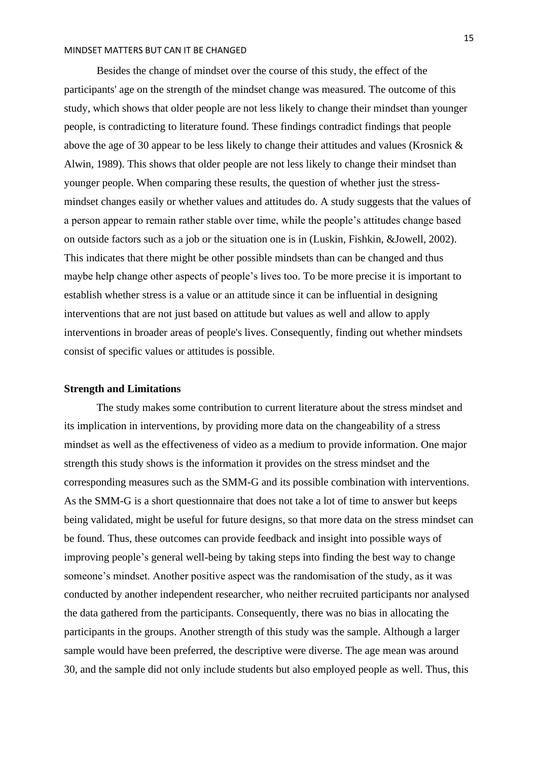Besides the change of mindset over the course of this study, the effect of the participants' age on the strength of the mindset change was measured. The outcome of this study, which shows that older people are not less likely to change their mindset than younger people, is contradicting to literature found. These findings contradict findings that people above the age of 30 appear to be less likely to change their attitudes and values (Krosnick & Alwin, 1989). This shows that older people are not less likely to change their mindset than younger people. When comparing these results, the question of whether just the stressmindset changes easily or whether values and attitudes do. A study suggests that the values of a person appear to remain rather stable over time, while the people's attitudes change based on outside factors such as a job or the situation one is in (Luskin, Fishkin, &Jowell, 2002). This indicates that there might be other possible mindsets than can be changed and thus maybe help change other aspects of people's lives too. To be more precise it is important to establish whether stress is a value or an attitude since it can be influential in designing interventions that are not just based on attitude but values as well and allow to apply interventions in broader areas of people's lives. Consequently, finding out whether mindsets consist of specific values or attitudes is possible.

## **Strength and Limitations**

The study makes some contribution to current literature about the stress mindset and its implication in interventions, by providing more data on the changeability of a stress mindset as well as the effectiveness of video as a medium to provide information. One major strength this study shows is the information it provides on the stress mindset and the corresponding measures such as the SMM-G and its possible combination with interventions. As the SMM-G is a short questionnaire that does not take a lot of time to answer but keeps being validated, might be useful for future designs, so that more data on the stress mindset can be found. Thus, these outcomes can provide feedback and insight into possible ways of improving people's general well-being by taking steps into finding the best way to change someone's mindset. Another positive aspect was the randomisation of the study, as it was conducted by another independent researcher, who neither recruited participants nor analysed the data gathered from the participants. Consequently, there was no bias in allocating the participants in the groups. Another strength of this study was the sample. Although a larger sample would have been preferred, the descriptive were diverse. The age mean was around 30, and the sample did not only include students but also employed people as well. Thus, this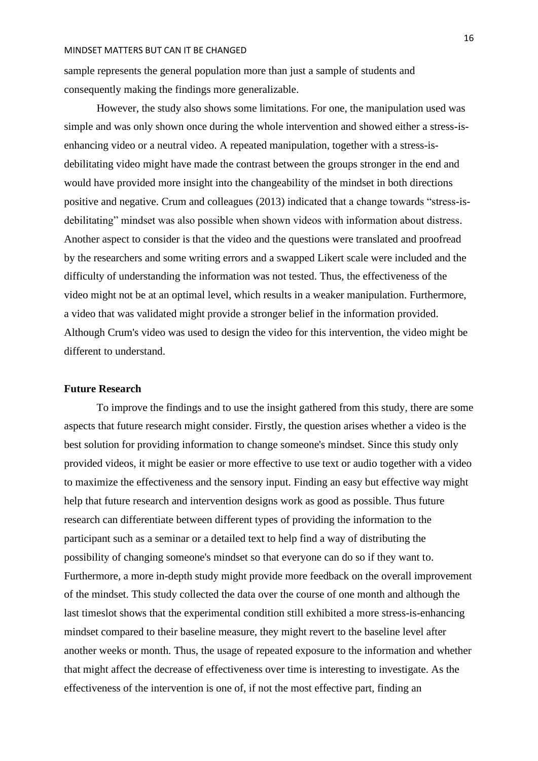sample represents the general population more than just a sample of students and consequently making the findings more generalizable.

However, the study also shows some limitations. For one, the manipulation used was simple and was only shown once during the whole intervention and showed either a stress-isenhancing video or a neutral video. A repeated manipulation, together with a stress-isdebilitating video might have made the contrast between the groups stronger in the end and would have provided more insight into the changeability of the mindset in both directions positive and negative. Crum and colleagues (2013) indicated that a change towards "stress-isdebilitating" mindset was also possible when shown videos with information about distress. Another aspect to consider is that the video and the questions were translated and proofread by the researchers and some writing errors and a swapped Likert scale were included and the difficulty of understanding the information was not tested. Thus, the effectiveness of the video might not be at an optimal level, which results in a weaker manipulation. Furthermore, a video that was validated might provide a stronger belief in the information provided. Although Crum's video was used to design the video for this intervention, the video might be different to understand.

## **Future Research**

To improve the findings and to use the insight gathered from this study, there are some aspects that future research might consider. Firstly, the question arises whether a video is the best solution for providing information to change someone's mindset. Since this study only provided videos, it might be easier or more effective to use text or audio together with a video to maximize the effectiveness and the sensory input. Finding an easy but effective way might help that future research and intervention designs work as good as possible. Thus future research can differentiate between different types of providing the information to the participant such as a seminar or a detailed text to help find a way of distributing the possibility of changing someone's mindset so that everyone can do so if they want to. Furthermore, a more in-depth study might provide more feedback on the overall improvement of the mindset. This study collected the data over the course of one month and although the last timeslot shows that the experimental condition still exhibited a more stress-is-enhancing mindset compared to their baseline measure, they might revert to the baseline level after another weeks or month. Thus, the usage of repeated exposure to the information and whether that might affect the decrease of effectiveness over time is interesting to investigate. As the effectiveness of the intervention is one of, if not the most effective part, finding an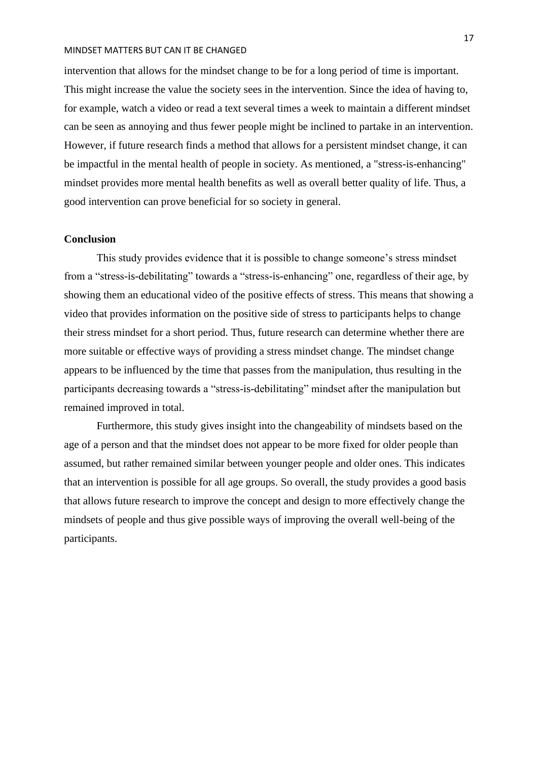intervention that allows for the mindset change to be for a long period of time is important. This might increase the value the society sees in the intervention. Since the idea of having to, for example, watch a video or read a text several times a week to maintain a different mindset can be seen as annoying and thus fewer people might be inclined to partake in an intervention. However, if future research finds a method that allows for a persistent mindset change, it can be impactful in the mental health of people in society. As mentioned, a "stress-is-enhancing" mindset provides more mental health benefits as well as overall better quality of life. Thus, a good intervention can prove beneficial for so society in general.

## **Conclusion**

This study provides evidence that it is possible to change someone's stress mindset from a "stress-is-debilitating" towards a "stress-is-enhancing" one, regardless of their age, by showing them an educational video of the positive effects of stress. This means that showing a video that provides information on the positive side of stress to participants helps to change their stress mindset for a short period. Thus, future research can determine whether there are more suitable or effective ways of providing a stress mindset change. The mindset change appears to be influenced by the time that passes from the manipulation, thus resulting in the participants decreasing towards a "stress-is-debilitating" mindset after the manipulation but remained improved in total.

Furthermore, this study gives insight into the changeability of mindsets based on the age of a person and that the mindset does not appear to be more fixed for older people than assumed, but rather remained similar between younger people and older ones. This indicates that an intervention is possible for all age groups. So overall, the study provides a good basis that allows future research to improve the concept and design to more effectively change the mindsets of people and thus give possible ways of improving the overall well-being of the participants.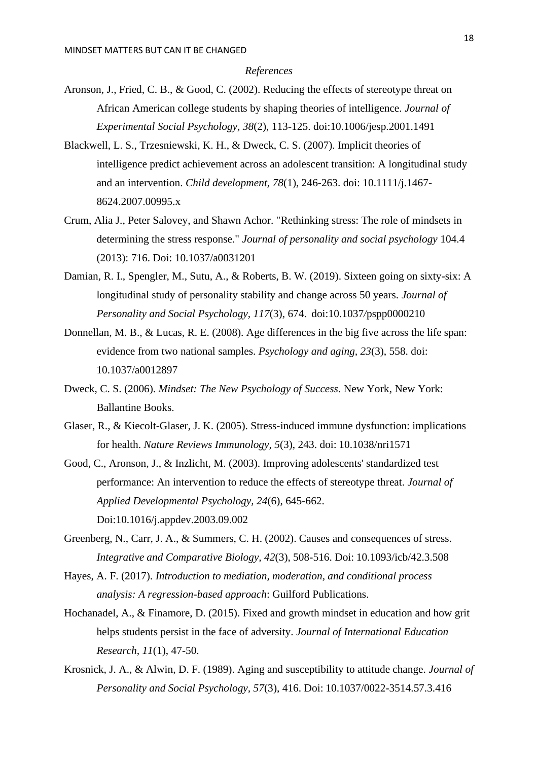#### *References*

- Aronson, J., Fried, C. B., & Good, C. (2002). Reducing the effects of stereotype threat on African American college students by shaping theories of intelligence. *Journal of Experimental Social Psychology, 38*(2), 113-125. doi:10.1006/jesp.2001.1491
- Blackwell, L. S., Trzesniewski, K. H., & Dweck, C. S. (2007). Implicit theories of intelligence predict achievement across an adolescent transition: A longitudinal study and an intervention. *Child development, 78*(1), 246-263. doi: 10.1111/j.1467- 8624.2007.00995.x
- Crum, Alia J., Peter Salovey, and Shawn Achor. "Rethinking stress: The role of mindsets in determining the stress response." *Journal of personality and social psychology* 104.4 (2013): 716. Doi: 10.1037/a0031201
- Damian, R. I., Spengler, M., Sutu, A., & Roberts, B. W. (2019). Sixteen going on sixty-six: A longitudinal study of personality stability and change across 50 years. *Journal of Personality and Social Psychology, 117*(3), 674. doi:10.1037*/*pspp0000210
- Donnellan, M. B., & Lucas, R. E. (2008). Age differences in the big five across the life span: evidence from two national samples. *Psychology and aging, 23*(3), 558. doi: 10.1037/a0012897
- Dweck, C. S. (2006). *Mindset: The New Psychology of Success*. New York, New York: Ballantine Books.
- Glaser, R., & Kiecolt-Glaser, J. K. (2005). Stress-induced immune dysfunction: implications for health. *Nature Reviews Immunology, 5*(3), 243. doi: 10.1038/nri1571
- Good, C., Aronson, J., & Inzlicht, M. (2003). Improving adolescents' standardized test performance: An intervention to reduce the effects of stereotype threat. *Journal of Applied Developmental Psychology, 24*(6), 645-662. Doi:10.1016/j.appdev.2003.09.002
- Greenberg, N., Carr, J. A., & Summers, C. H. (2002). Causes and consequences of stress. *Integrative and Comparative Biology, 42*(3), 508-516. Doi: 10.1093/icb/42.3.508
- Hayes, A. F. (2017). *Introduction to mediation, moderation, and conditional process analysis: A regression-based approach*: Guilford Publications.
- Hochanadel, A., & Finamore, D. (2015). Fixed and growth mindset in education and how grit helps students persist in the face of adversity. *Journal of International Education Research, 11*(1), 47-50.
- Krosnick, J. A., & Alwin, D. F. (1989). Aging and susceptibility to attitude change. *Journal of Personality and Social Psychology, 57*(3), 416. Doi: 10.1037/0022-3514.57.3.416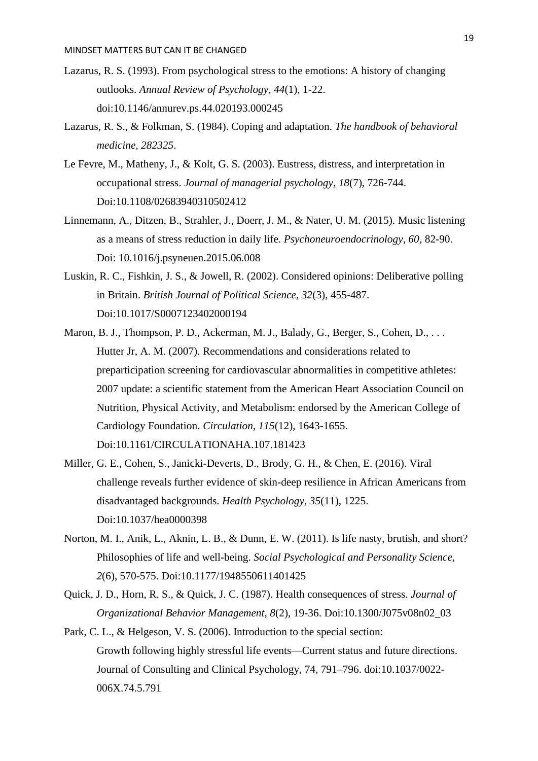- Lazarus, R. S. (1993). From psychological stress to the emotions: A history of changing outlooks. *Annual Review of Psychology, 44*(1), 1-22. doi:10.1146/annurev.ps.44.020193.000245
- Lazarus, R. S., & Folkman, S. (1984). Coping and adaptation. *The handbook of behavioral medicine, 282325*.
- Le Fevre, M., Matheny, J., & Kolt, G. S. (2003). Eustress, distress, and interpretation in occupational stress. *Journal of managerial psychology, 18*(7), 726-744. Doi:10.1108/02683940310502412
- Linnemann, A., Ditzen, B., Strahler, J., Doerr, J. M., & Nater, U. M. (2015). Music listening as a means of stress reduction in daily life. *Psychoneuroendocrinology, 60*, 82-90. Doi: 10.1016/j.psyneuen.2015.06.008
- Luskin, R. C., Fishkin, J. S., & Jowell, R. (2002). Considered opinions: Deliberative polling in Britain. *British Journal of Political Science, 32*(3), 455-487. Doi:10.1017/S0007123402000194
- Maron, B. J., Thompson, P. D., Ackerman, M. J., Balady, G., Berger, S., Cohen, D., ... Hutter Jr, A. M. (2007). Recommendations and considerations related to preparticipation screening for cardiovascular abnormalities in competitive athletes: 2007 update: a scientific statement from the American Heart Association Council on Nutrition, Physical Activity, and Metabolism: endorsed by the American College of Cardiology Foundation. *Circulation, 115*(12), 1643-1655. Doi:10.1161/CIRCULATIONAHA.107.181423
- Miller, G. E., Cohen, S., Janicki-Deverts, D., Brody, G. H., & Chen, E. (2016). Viral challenge reveals further evidence of skin-deep resilience in African Americans from disadvantaged backgrounds. *Health Psychology, 35*(11), 1225. Doi:10.1037/hea0000398
- Norton, M. I., Anik, L., Aknin, L. B., & Dunn, E. W. (2011). Is life nasty, brutish, and short? Philosophies of life and well-being. *Social Psychological and Personality Science, 2*(6), 570-575. Doi:10.1177/1948550611401425
- Quick, J. D., Horn, R. S., & Quick, J. C. (1987). Health consequences of stress. *Journal of Organizational Behavior Management, 8*(2), 19-36. Doi:10.1300/J075v08n02\_03
- Park, C. L., & Helgeson, V. S. (2006). Introduction to the special section: Growth following highly stressful life events—Current status and future directions. Journal of Consulting and Clinical Psychology, 74, 791–796. doi:10.1037/0022- 006X.74.5.791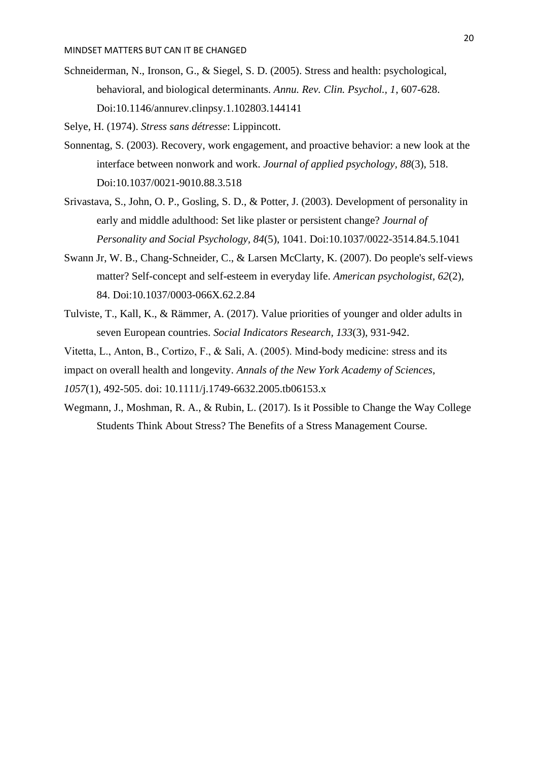Schneiderman, N., Ironson, G., & Siegel, S. D. (2005). Stress and health: psychological, behavioral, and biological determinants. *Annu. Rev. Clin. Psychol., 1*, 607-628. Doi:10.1146/annurev.clinpsy.1.102803.144141

Selye, H. (1974). *Stress sans détresse*: Lippincott.

- Sonnentag, S. (2003). Recovery, work engagement, and proactive behavior: a new look at the interface between nonwork and work. *Journal of applied psychology, 88*(3), 518. Doi:10.1037/0021-9010.88.3.518
- Srivastava, S., John, O. P., Gosling, S. D., & Potter, J. (2003). Development of personality in early and middle adulthood: Set like plaster or persistent change? *Journal of Personality and Social Psychology, 84*(5), 1041. Doi:10.1037/0022-3514.84.5.1041
- Swann Jr, W. B., Chang-Schneider, C., & Larsen McClarty, K. (2007). Do people's self-views matter? Self-concept and self-esteem in everyday life. *American psychologist, 62*(2), 84. Doi:10.1037/0003-066X.62.2.84
- Tulviste, T., Kall, K., & Rämmer, A. (2017). Value priorities of younger and older adults in seven European countries. *Social Indicators Research, 133*(3), 931-942.
- Vitetta, L., Anton, B., Cortizo, F., & Sali, A. (2005). Mind‐body medicine: stress and its
- impact on overall health and longevity. *Annals of the New York Academy of Sciences*,
- *1057*(1), 492-505. doi: 10.1111/j.1749-6632.2005.tb06153.x
- Wegmann, J., Moshman, R. A., & Rubin, L. (2017). Is it Possible to Change the Way College Students Think About Stress? The Benefits of a Stress Management Course.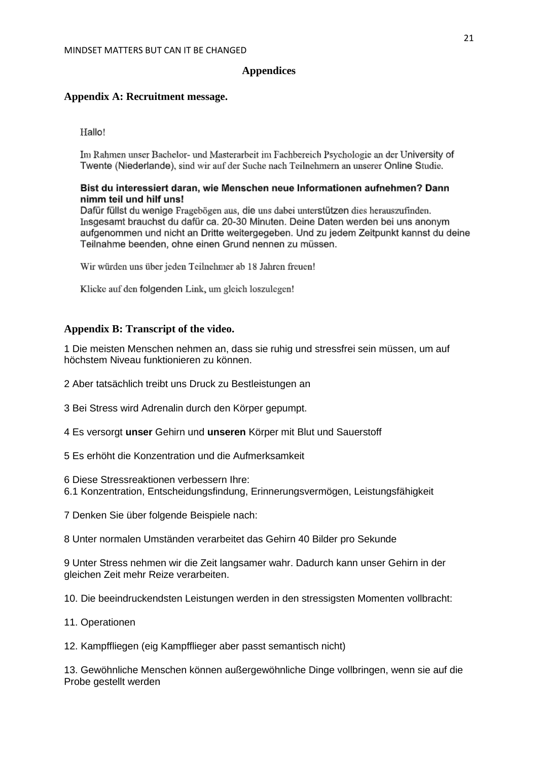#### **Appendices**

#### **Appendix A: Recruitment message.**

Hallo!

Im Rahmen unser Bachelor- und Masterarbeit im Fachbereich Psychologie an der University of Twente (Niederlande), sind wir auf der Suche nach Teilnehmern an unserer Online Studie.

## Bist du interessiert daran, wie Menschen neue Informationen aufnehmen? Dann nimm teil und hilf uns!

Dafür füllst du wenige Fragebögen aus, die uns dabei unterstützen dies herauszufinden. Insgesamt brauchst du dafür ca. 20-30 Minuten. Deine Daten werden bei uns anonym aufgenommen und nicht an Dritte weitergegeben. Und zu jedem Zeitpunkt kannst du deine Teilnahme beenden, ohne einen Grund nennen zu müssen.

Wir würden uns über jeden Teilnehmer ab 18 Jahren freuen!

Klicke auf den folgenden Link, um gleich loszulegen!

## **Appendix B: Transcript of the video.**

1 Die meisten Menschen nehmen an, dass sie ruhig und stressfrei sein müssen, um auf höchstem Niveau funktionieren zu können.

- 2 Aber tatsächlich treibt uns Druck zu Bestleistungen an
- 3 Bei Stress wird Adrenalin durch den Körper gepumpt.
- 4 Es versorgt **unser** Gehirn und **unseren** Körper mit Blut und Sauerstoff
- 5 Es erhöht die Konzentration und die Aufmerksamkeit
- 6 Diese Stressreaktionen verbessern Ihre:
- 6.1 Konzentration, Entscheidungsfindung, Erinnerungsvermögen, Leistungsfähigkeit
- 7 Denken Sie über folgende Beispiele nach:

8 Unter normalen Umständen verarbeitet das Gehirn 40 Bilder pro Sekunde

9 Unter Stress nehmen wir die Zeit langsamer wahr. Dadurch kann unser Gehirn in der gleichen Zeit mehr Reize verarbeiten.

10. Die beeindruckendsten Leistungen werden in den stressigsten Momenten vollbracht:

- 11. Operationen
- 12. Kampffliegen (eig Kampfflieger aber passt semantisch nicht)

13. Gewöhnliche Menschen können außergewöhnliche Dinge vollbringen, wenn sie auf die Probe gestellt werden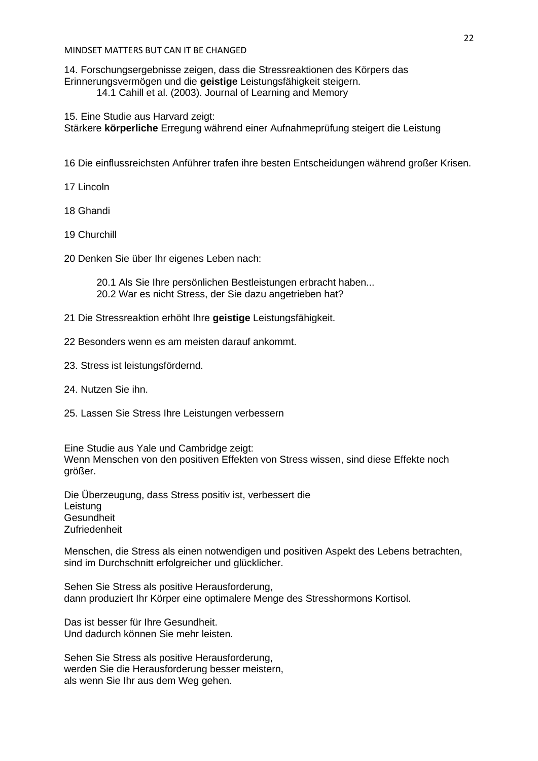14. Forschungsergebnisse zeigen, dass die Stressreaktionen des Körpers das Erinnerungsvermögen und die **geistige** Leistungsfähigkeit steigern.

14.1 Cahill et al. (2003). Journal of Learning and Memory

15. Eine Studie aus Harvard zeigt: Stärkere **körperliche** Erregung während einer Aufnahmeprüfung steigert die Leistung

16 Die einflussreichsten Anführer trafen ihre besten Entscheidungen während großer Krisen.

17 Lincoln

18 Ghandi

19 Churchill

20 Denken Sie über Ihr eigenes Leben nach:

20.1 Als Sie Ihre persönlichen Bestleistungen erbracht haben... 20.2 War es nicht Stress, der Sie dazu angetrieben hat?

- 21 Die Stressreaktion erhöht Ihre **geistige** Leistungsfähigkeit.
- 22 Besonders wenn es am meisten darauf ankommt.
- 23. Stress ist leistungsfördernd.
- 24. Nutzen Sie ihn.
- 25. Lassen Sie Stress Ihre Leistungen verbessern

Eine Studie aus Yale und Cambridge zeigt: Wenn Menschen von den positiven Effekten von Stress wissen, sind diese Effekte noch größer.

Die Überzeugung, dass Stress positiv ist, verbessert die Leistung Gesundheit Zufriedenheit

Menschen, die Stress als einen notwendigen und positiven Aspekt des Lebens betrachten, sind im Durchschnitt erfolgreicher und glücklicher.

Sehen Sie Stress als positive Herausforderung, dann produziert Ihr Körper eine optimalere Menge des Stresshormons Kortisol.

Das ist besser für Ihre Gesundheit. Und dadurch können Sie mehr leisten.

Sehen Sie Stress als positive Herausforderung, werden Sie die Herausforderung besser meistern, als wenn Sie Ihr aus dem Weg gehen.